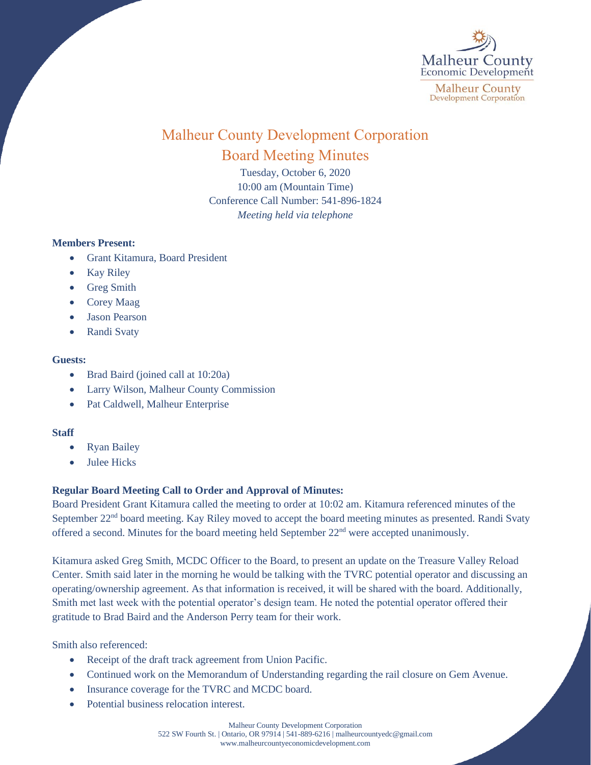

# Malheur County Development Corporation Board Meeting Minutes

Tuesday, October 6, 2020 10:00 am (Mountain Time) Conference Call Number: 541-896-1824 *Meeting held via telephone*

### **Members Present:**

- Grant Kitamura, Board President
- Kay Riley
- Greg Smith
- Corey Maag
- Jason Pearson
- Randi Svaty

## **Guests:**

- Brad Baird (joined call at 10:20a)
- Larry Wilson, Malheur County Commission
- Pat Caldwell, Malheur Enterprise

## **Staff**

- Ryan Bailey
- Julee Hicks

## **Regular Board Meeting Call to Order and Approval of Minutes:**

Board President Grant Kitamura called the meeting to order at 10:02 am. Kitamura referenced minutes of the September 22<sup>nd</sup> board meeting. Kay Riley moved to accept the board meeting minutes as presented. Randi Svaty offered a second. Minutes for the board meeting held September 22<sup>nd</sup> were accepted unanimously.

Kitamura asked Greg Smith, MCDC Officer to the Board, to present an update on the Treasure Valley Reload Center. Smith said later in the morning he would be talking with the TVRC potential operator and discussing an operating/ownership agreement. As that information is received, it will be shared with the board. Additionally, Smith met last week with the potential operator's design team. He noted the potential operator offered their gratitude to Brad Baird and the Anderson Perry team for their work.

Smith also referenced:

- Receipt of the draft track agreement from Union Pacific.
- Continued work on the Memorandum of Understanding regarding the rail closure on Gem Avenue.
- Insurance coverage for the TVRC and MCDC board.
- Potential business relocation interest.